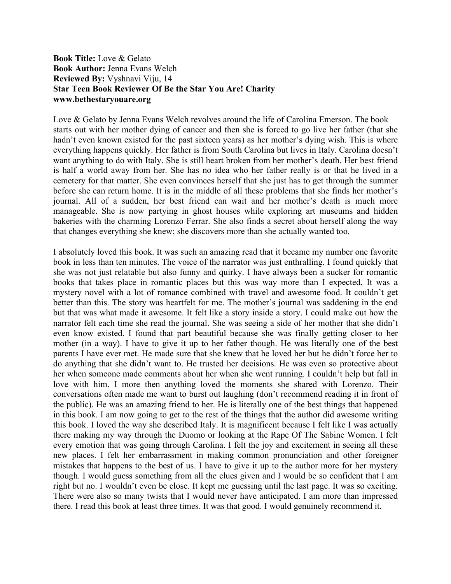## **Book Title:** Love & Gelato **Book Author:** Jenna Evans Welch **Reviewed By:** Vyshnavi Viju, 14 **Star Teen Book Reviewer Of Be the Star You Are! Charity www.bethestaryouare.org**

Love & Gelato by Jenna Evans Welch revolves around the life of Carolina Emerson. The book starts out with her mother dying of cancer and then she is forced to go live her father (that she hadn't even known existed for the past sixteen years) as her mother's dying wish. This is where everything happens quickly. Her father is from South Carolina but lives in Italy. Carolina doesn't want anything to do with Italy. She is still heart broken from her mother's death. Her best friend is half a world away from her. She has no idea who her father really is or that he lived in a cemetery for that matter. She even convinces herself that she just has to get through the summer before she can return home. It is in the middle of all these problems that she finds her mother's journal. All of a sudden, her best friend can wait and her mother's death is much more manageable. She is now partying in ghost houses while exploring art museums and hidden bakeries with the charming Lorenzo Ferrar. She also finds a secret about herself along the way that changes everything she knew; she discovers more than she actually wanted too.

I absolutely loved this book. It was such an amazing read that it became my number one favorite book in less than ten minutes. The voice of the narrator was just enthralling. I found quickly that she was not just relatable but also funny and quirky. I have always been a sucker for romantic books that takes place in romantic places but this was way more than I expected. It was a mystery novel with a lot of romance combined with travel and awesome food. It couldn't get better than this. The story was heartfelt for me. The mother's journal was saddening in the end but that was what made it awesome. It felt like a story inside a story. I could make out how the narrator felt each time she read the journal. She was seeing a side of her mother that she didn't even know existed. I found that part beautiful because she was finally getting closer to her mother (in a way). I have to give it up to her father though. He was literally one of the best parents I have ever met. He made sure that she knew that he loved her but he didn't force her to do anything that she didn't want to. He trusted her decisions. He was even so protective about her when someone made comments about her when she went running. I couldn't help but fall in love with him. I more then anything loved the moments she shared with Lorenzo. Their conversations often made me want to burst out laughing (don't recommend reading it in front of the public). He was an amazing friend to her. He is literally one of the best things that happened in this book. I am now going to get to the rest of the things that the author did awesome writing this book. I loved the way she described Italy. It is magnificent because I felt like I was actually there making my way through the Duomo or looking at the Rape Of The Sabine Women. I felt every emotion that was going through Carolina. I felt the joy and excitement in seeing all these new places. I felt her embarrassment in making common pronunciation and other foreigner mistakes that happens to the best of us. I have to give it up to the author more for her mystery though. I would guess something from all the clues given and I would be so confident that I am right but no. I wouldn't even be close. It kept me guessing until the last page. It was so exciting. There were also so many twists that I would never have anticipated. I am more than impressed there. I read this book at least three times. It was that good. I would genuinely recommend it.